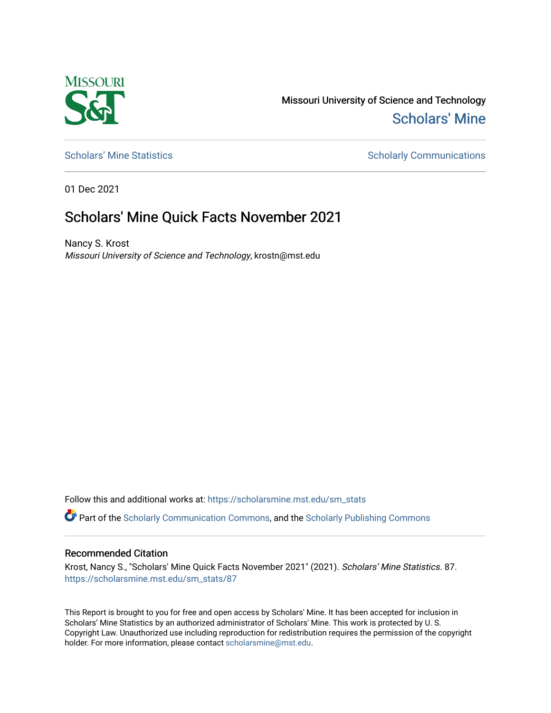

Missouri University of Science and Technology [Scholars' Mine](https://scholarsmine.mst.edu/) 

[Scholars' Mine Statistics](https://scholarsmine.mst.edu/sm_stats) Scholarly Communications

01 Dec 2021

## Scholars' Mine Quick Facts November 2021

Nancy S. Krost Missouri University of Science and Technology, krostn@mst.edu

Follow this and additional works at: [https://scholarsmine.mst.edu/sm\\_stats](https://scholarsmine.mst.edu/sm_stats?utm_source=scholarsmine.mst.edu%2Fsm_stats%2F87&utm_medium=PDF&utm_campaign=PDFCoverPages) 

Part of the [Scholarly Communication Commons,](http://network.bepress.com/hgg/discipline/1272?utm_source=scholarsmine.mst.edu%2Fsm_stats%2F87&utm_medium=PDF&utm_campaign=PDFCoverPages) and the [Scholarly Publishing Commons](http://network.bepress.com/hgg/discipline/1273?utm_source=scholarsmine.mst.edu%2Fsm_stats%2F87&utm_medium=PDF&utm_campaign=PDFCoverPages)

## Recommended Citation

Krost, Nancy S., "Scholars' Mine Quick Facts November 2021" (2021). Scholars' Mine Statistics. 87. [https://scholarsmine.mst.edu/sm\\_stats/87](https://scholarsmine.mst.edu/sm_stats/87?utm_source=scholarsmine.mst.edu%2Fsm_stats%2F87&utm_medium=PDF&utm_campaign=PDFCoverPages)

This Report is brought to you for free and open access by Scholars' Mine. It has been accepted for inclusion in Scholars' Mine Statistics by an authorized administrator of Scholars' Mine. This work is protected by U. S. Copyright Law. Unauthorized use including reproduction for redistribution requires the permission of the copyright holder. For more information, please contact [scholarsmine@mst.edu.](mailto:scholarsmine@mst.edu)